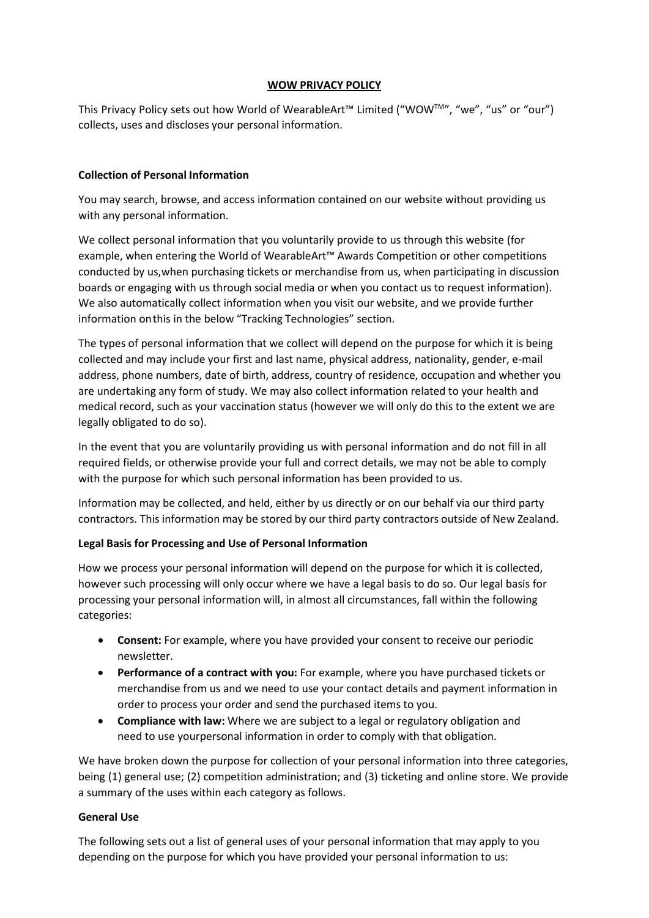#### **WOW PRIVACY POLICY**

This Privacy Policy sets out how World of WearableArt™ Limited ("WOWTM", "we", "us" or "our") collects, uses and discloses your personal information.

#### **Collection of Personal Information**

You may search, browse, and access information contained on our website without providing us with any personal information.

We collect personal information that you voluntarily provide to us through this website (for example, when entering the World of WearableArt™ Awards Competition or other competitions conducted by us,when purchasing tickets or merchandise from us, when participating in discussion boards or engaging with us through social media or when you contact us to request information). We also automatically collect information when you visit our website, and we provide further information on this in the below "Tracking Technologies" section.

The types of personal information that we collect will depend on the purpose for which it is being collected and may include your first and last name, physical address, nationality, gender, e-mail address, phone numbers, date of birth, address, country of residence, occupation and whether you are undertaking any form of study. We may also collect information related to your health and medical record, such as your vaccination status (however we will only do this to the extent we are legally obligated to do so).

In the event that you are voluntarily providing us with personal information and do not fill in all required fields, or otherwise provide your full and correct details, we may not be able to comply with the purpose for which such personal information has been provided to us.

Information may be collected, and held, either by us directly or on our behalf via our third party contractors. This information may be stored by our third party contractors outside of New Zealand.

# **Legal Basis for Processing and Use of Personal Information**

How we process your personal information will depend on the purpose for which it is collected, however such processing will only occur where we have a legal basis to do so. Our legal basis for processing your personal information will, in almost all circumstances, fall within the following categories:

- **Consent:** For example, where you have provided your consent to receive our periodic newsletter.
- **Performance of a contract with you:** For example, where you have purchased tickets or merchandise from us and we need to use your contact details and payment information in order to process your order and send the purchased items to you.
- **Compliance with law:** Where we are subject to a legal or regulatory obligation and need to use yourpersonal information in order to comply with that obligation.

We have broken down the purpose for collection of your personal information into three categories, being (1) general use; (2) competition administration; and (3) ticketing and online store. We provide a summary of the uses within each category as follows.

#### **General Use**

The following sets out a list of general uses of your personal information that may apply to you depending on the purpose for which you have provided your personal information to us: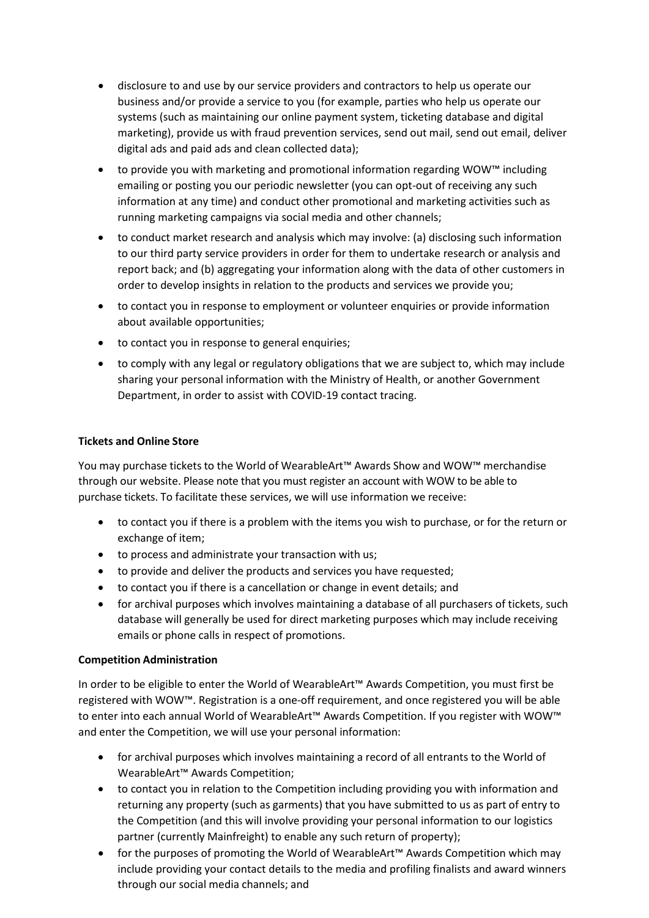- disclosure to and use by our service providers and contractors to help us operate our business and/or provide a service to you (for example, parties who help us operate our systems (such as maintaining our online payment system, ticketing database and digital marketing), provide us with fraud prevention services, send out mail, send out email, deliver digital ads and paid ads and clean collected data);
- to provide you with marketing and promotional information regarding WOW™ including emailing or posting you our periodic newsletter (you can opt-out of receiving any such information at any time) and conduct other promotional and marketing activities such as running marketing campaigns via social media and other channels;
- to conduct market research and analysis which may involve: (a) disclosing such information to our third party service providers in order for them to undertake research or analysis and report back; and (b) aggregating your information along with the data of other customers in order to develop insights in relation to the products and services we provide you;
- to contact you in response to employment or volunteer enquiries or provide information about available opportunities;
- to contact you in response to general enquiries;
- to comply with any legal or regulatory obligations that we are subject to, which may include sharing your personal information with the Ministry of Health, or another Government Department, in order to assist with COVID-19 contact tracing.

# **Tickets and Online Store**

You may purchase tickets to the World of WearableArt™ Awards Show and WOW™ merchandise through our website. Please note that you must register an account with WOW to be able to purchase tickets. To facilitate these services, we will use information we receive:

- to contact you if there is a problem with the items you wish to purchase, or for the return or exchange of item;
- to process and administrate your transaction with us;
- to provide and deliver the products and services you have requested;
- to contact you if there is a cancellation or change in event details; and
- for archival purposes which involves maintaining a database of all purchasers of tickets, such database will generally be used for direct marketing purposes which may include receiving emails or phone calls in respect of promotions.

# **Competition Administration**

In order to be eligible to enter the World of WearableArt™ Awards Competition, you must first be registered with WOW™. Registration is a one-off requirement, and once registered you will be able to enter into each annual World of WearableArt™ Awards Competition. If you register with WOW™ and enter the Competition, we will use your personal information:

- for archival purposes which involves maintaining a record of all entrants to the World of WearableArt™ Awards Competition;
- to contact you in relation to the Competition including providing you with information and returning any property (such as garments) that you have submitted to us as part of entry to the Competition (and this will involve providing your personal information to our logistics partner (currently Mainfreight) to enable any such return of property);
- for the purposes of promoting the World of WearableArt™ Awards Competition which may include providing your contact details to the media and profiling finalists and award winners through our social media channels; and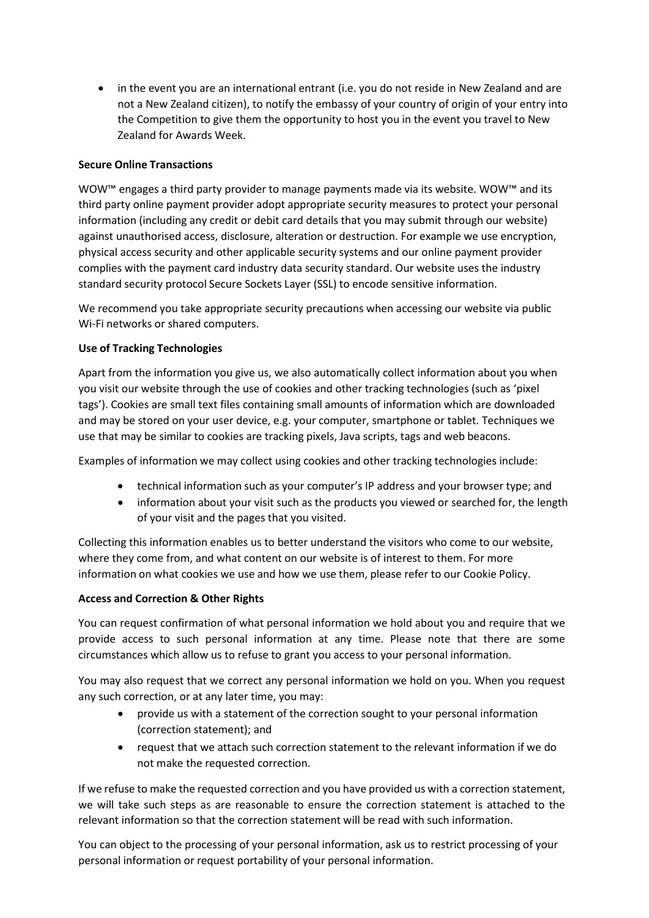• in the event you are an international entrant (i.e. you do not reside in New Zealand and are not a New Zealand citizen), to notify the embassy of your country of origin of your entry into the Competition to give them the opportunity to host you in the event you travel to New Zealand for Awards Week.

# **Secure Online Transactions**

WOW™ engages a third party provider to manage payments made via its website. WOW™ and its third party online payment provider adopt appropriate security measures to protect your personal information (including any credit or debit card details that you may submit through our website) against unauthorised access, disclosure, alteration or destruction. For example we use encryption, physical access security and other applicable security systems and our online payment provider complies with the payment card industry data security standard. Our website uses the industry standard security protocol Secure Sockets Layer (SSL) to encode sensitive information.

We recommend you take appropriate security precautions when accessing our website via public Wi-Fi networks or shared computers.

#### **Use of Tracking Technologies**

Apart from the information you give us, we also automatically collect information about you when you visit our website through the use of cookies and other tracking technologies (such as 'pixel tags'). Cookies are small text files containing small amounts of information which are downloaded and may be stored on your user device, e.g. your computer, smartphone or tablet. Techniques we use that may be similar to cookies are tracking pixels, Java scripts, tags and web beacons.

Examples of information we may collect using cookies and other tracking technologies include:

- technical information such as your computer's IP address and your browser type; and
- information about your visit such as the products you viewed or searched for, the length of your visit and the pages that you visited.

Collecting this information enables us to better understand the visitors who come to our website, where they come from, and what content on our website is of interest to them. For more information on what cookies we use and how we use them, please refer to our Cookie Policy.

#### **Access and Correction & Other Rights**

You can request confirmation of what personal information we hold about you and require that we provide access to such personal information at any time. Please note that there are some circumstances which allow us to refuse to grant you access to your personal information.

You may also request that we correct any personal information we hold on you. When you request any such correction, or at any later time, you may:

- provide us with a statement of the correction sought to your personal information (correction statement); and
- request that we attach such correction statement to the relevant information if we do not make the requested correction.

If we refuse to make the requested correction and you have provided us with a correction statement, we will take such steps as are reasonable to ensure the correction statement is attached to the relevant information so that the correction statement will be read with such information.

You can object to the processing of your personal information, ask us to restrict processing of your personal information or request portability of your personal information.